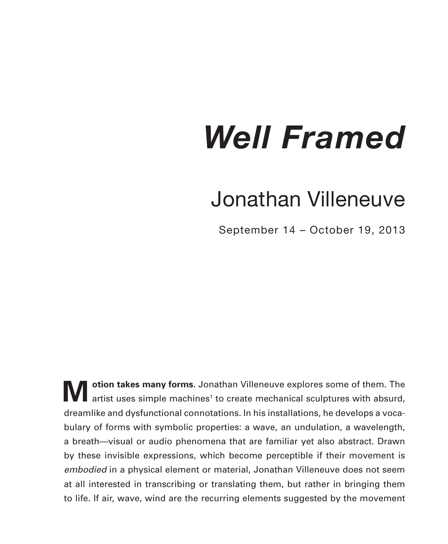## *Well Framed*

## Jonathan Villeneuve

September 14 – October 19, 2013

**Motion takes many forms**. Jonathan Villeneuve explores some of them. The artist uses simple machines<sup>1</sup> to create mechanical sculptures with absurd, dreamlike and dysfunctional connotations. In his installations, he develops a vocabulary of forms with symbolic properties: a wave, an undulation, a wavelength, a breath—visual or audio phenomena that are familiar yet also abstract. Drawn by these invisible expressions, which become perceptible if their movement is *embodied* in a physical element or material, Jonathan Villeneuve does not seem at all interested in transcribing or translating them, but rather in bringing them to life. If air, wave, wind are the recurring elements suggested by the movement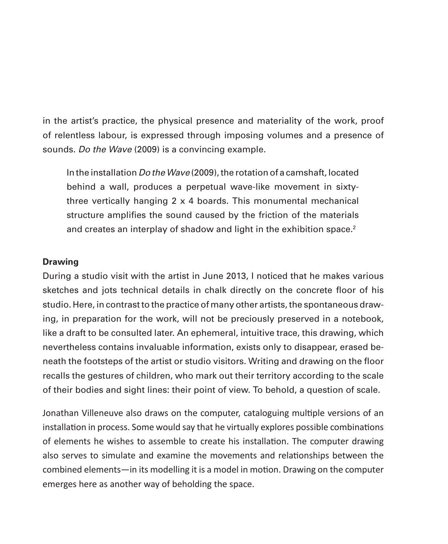in the artist's practice, the physical presence and materiality of the work, proof of relentless labour, is expressed through imposing volumes and a presence of sounds. *Do the Wave* (2009) is a convincing example.

In the installation *Do the Wave* (2009), the rotation of a camshaft, located behind a wall, produces a perpetual wave-like movement in sixtythree vertically hanging 2 x 4 boards. This monumental mechanical structure amplifies the sound caused by the friction of the materials and creates an interplay of shadow and light in the exhibition space.<sup>2</sup>

## **Drawing**

During a studio visit with the artist in June 2013, I noticed that he makes various sketches and jots technical details in chalk directly on the concrete floor of his studio. Here, in contrast to the practice of many other artists, the spontaneous drawing, in preparation for the work, will not be preciously preserved in a notebook, like a draft to be consulted later. An ephemeral, intuitive trace, this drawing, which nevertheless contains invaluable information, exists only to disappear, erased beneath the footsteps of the artist or studio visitors. Writing and drawing on the floor recalls the gestures of children, who mark out their territory according to the scale of their bodies and sight lines: their point of view. To behold, a question of scale.

Jonathan Villeneuve also draws on the computer, cataloguing multiple versions of an installation in process. Some would say that he virtually explores possible combinations of elements he wishes to assemble to create his installation. The computer drawing also serves to simulate and examine the movements and relationships between the combined elements—in its modelling it is a model in motion. Drawing on the computer emerges here as another way of beholding the space.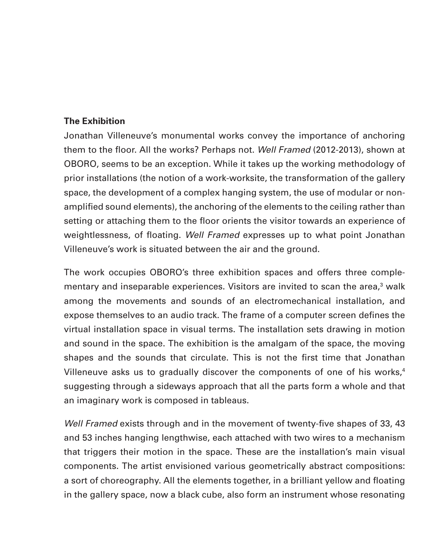## **The Exhibition**

Jonathan Villeneuve's monumental works convey the importance of anchoring them to the floor. All the works? Perhaps not. *Well Framed* (2012-2013), shown at OBORO, seems to be an exception. While it takes up the working methodology of prior installations (the notion of a work-worksite, the transformation of the gallery space, the development of a complex hanging system, the use of modular or nonamplified sound elements), the anchoring of the elements to the ceiling rather than setting or attaching them to the floor orients the visitor towards an experience of weightlessness, of floating. *Well Framed* expresses up to what point Jonathan Villeneuve's work is situated between the air and the ground.

The work occupies OBORO's three exhibition spaces and offers three complementary and inseparable experiences. Visitors are invited to scan the area,<sup>3</sup> walk among the movements and sounds of an electromechanical installation, and expose themselves to an audio track. The frame of a computer screen defines the virtual installation space in visual terms. The installation sets drawing in motion and sound in the space. The exhibition is the amalgam of the space, the moving shapes and the sounds that circulate. This is not the first time that Jonathan Villeneuve asks us to gradually discover the components of one of his works, $4$ suggesting through a sideways approach that all the parts form a whole and that an imaginary work is composed in tableaus.

*Well Framed* exists through and in the movement of twenty-five shapes of 33, 43 and 53 inches hanging lengthwise, each attached with two wires to a mechanism that triggers their motion in the space. These are the installation's main visual components. The artist envisioned various geometrically abstract compositions: a sort of choreography. All the elements together, in a brilliant yellow and floating in the gallery space, now a black cube, also form an instrument whose resonating